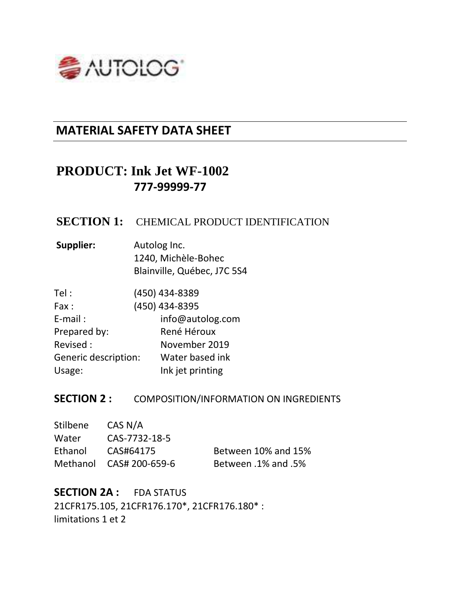

## **MATERIAL SAFETY DATA SHEET**

# **PRODUCT: Ink Jet WF-1002 777-99999-77**

### **SECTION 1:** CHEMICAL PRODUCT IDENTIFICATION

| Supplier: | Autolog Inc.                |
|-----------|-----------------------------|
|           | 1240, Michèle-Bohec         |
|           | Blainville, Québec, J7C 5S4 |

| Tel :                | (450) 434-8389   |
|----------------------|------------------|
| Fax:                 | (450) 434-8395   |
| $E$ -mail:           | info@autolog.com |
| Prepared by:         | René Héroux      |
| Revised:             | November 2019    |
| Generic description: | Water based ink  |
| Usage:               | Ink jet printing |

## **SECTION 2 : COMPOSITION/INFORMATION ON INGREDIENTS**

| Stilbene | CAS N/A                 |                            |
|----------|-------------------------|----------------------------|
| Water    | CAS-7732-18-5           |                            |
| Ethanol  | CAS#64175               | Between 10% and 15%        |
|          | Methanol CAS# 200-659-6 | <b>Between .1% and .5%</b> |

**SECTION 2A :** FDA STATUS 21CFR175.105, 21CFR176.170\*, 21CFR176.180\* : limitations 1 et 2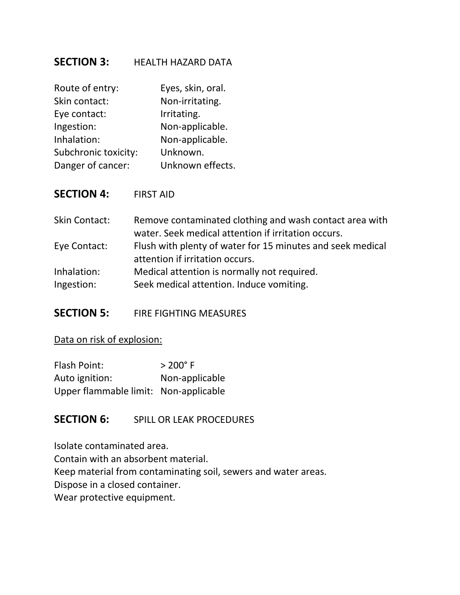### **SECTION 3:** HEALTH HAZARD DATA

| Route of entry:      | Eyes, skin, oral. |
|----------------------|-------------------|
| Skin contact:        | Non-irritating.   |
| Eye contact:         | Irritating.       |
| Ingestion:           | Non-applicable.   |
| Inhalation:          | Non-applicable.   |
| Subchronic toxicity: | Unknown.          |
| Danger of cancer:    | Unknown effects.  |

**SECTION 4:** FIRST AID

Skin Contact: Remove contaminated clothing and wash contact area with water. Seek medical attention if irritation occurs. Eye Contact: Flush with plenty of water for 15 minutes and seek medical attention if irritation occurs. Inhalation: Medical attention is normally not required. Ingestion: Seek medical attention. Induce vomiting.

**SECTION 5:** FIRE FIGHTING MEASURES

Data on risk of explosion:

| Flash Point:                          | $> 200^{\circ}$ F |
|---------------------------------------|-------------------|
| Auto ignition:                        | Non-applicable    |
| Upper flammable limit: Non-applicable |                   |

### **SECTION 6:** SPILL OR LEAK PROCEDURES

Isolate contaminated area. Contain with an absorbent material. Keep material from contaminating soil, sewers and water areas. Dispose in a closed container. Wear protective equipment.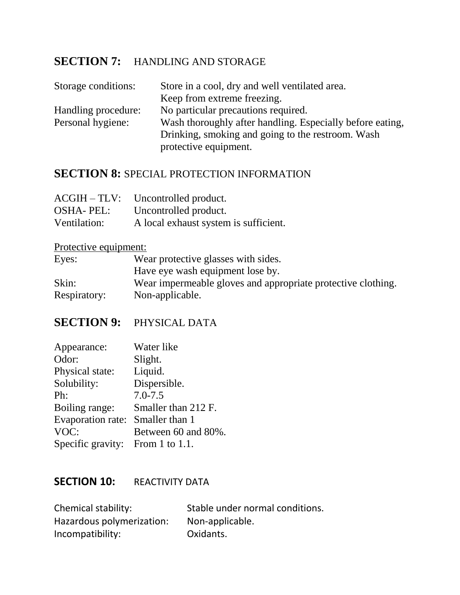## **SECTION 7:** HANDLING AND STORAGE

| Storage conditions: | Store in a cool, dry and well ventilated area.            |
|---------------------|-----------------------------------------------------------|
|                     | Keep from extreme freezing.                               |
| Handling procedure: | No particular precautions required.                       |
| Personal hygiene:   | Wash thoroughly after handling. Especially before eating, |
|                     | Drinking, smoking and going to the restroom. Wash         |
|                     | protective equipment.                                     |

### **SECTION 8: SPECIAL PROTECTION INFORMATION**

|                  | $ACGIH - TLV: Uncontrolled product.$  |
|------------------|---------------------------------------|
| <b>OSHA-PEL:</b> | Uncontrolled product.                 |
| Ventilation:     | A local exhaust system is sufficient. |

## Protective equipment:

| Eyes:        | Wear protective glasses with sides.                          |
|--------------|--------------------------------------------------------------|
|              | Have eye wash equipment lose by.                             |
| Skin:        | Wear impermeable gloves and appropriate protective clothing. |
| Respiratory: | Non-applicable.                                              |

## **SECTION 9:** PHYSICAL DATA

| Appearance:                      | Water like          |
|----------------------------------|---------------------|
| Odor:                            | Slight.             |
| Physical state:                  | Liquid.             |
| Solubility:                      | Dispersible.        |
| Ph:                              | $7.0 - 7.5$         |
| Boiling range:                   | Smaller than 212 F. |
| Evaporation rate:                | Smaller than 1      |
| VOC:                             | Between 60 and 80%. |
| Specific gravity: From 1 to 1.1. |                     |

### **SECTION 10: REACTIVITY DATA**

| Chemical stability:       | Stable under normal conditions. |
|---------------------------|---------------------------------|
| Hazardous polymerization: | Non-applicable.                 |
| Incompatibility:          | Oxidants.                       |